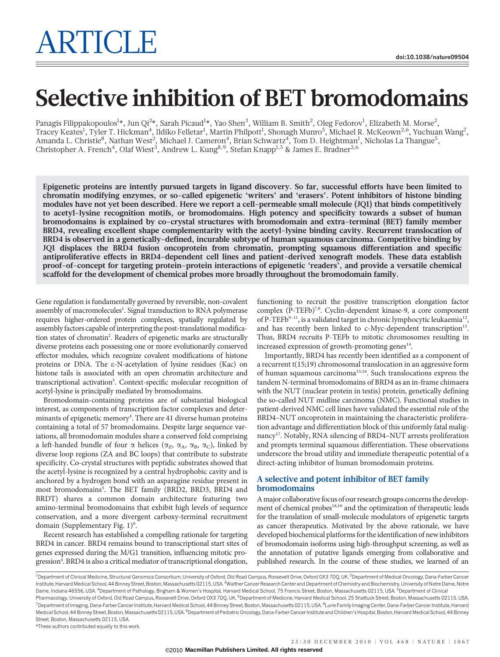# Selective inhibition of BET bromodomains

Panagis Filippakopoulos $^{1*}$ , Jun Qi $^{2*}$ , Sarah Picaud $^{1*}$ , Yao Shen $^3$ , William B. Smith $^2$ , Oleg Fedorov $^1$ , Elizabeth M. Morse $^2$ , Tracey Keates<sup>1</sup>, Tyler T. Hickman<sup>4</sup>, Ildiko Felletar<sup>1</sup>, Martin Philpott<sup>1</sup>, Shonagh Munro<sup>5</sup>, Michael R. McKeown<sup>2,6</sup>, Yuchuan Wang<sup>7</sup>, Amanda L. Christie<sup>8</sup>, Nathan West<sup>2</sup>, Michael J. Cameron<sup>4</sup>, Brian Schwartz<sup>4</sup>, Tom D. Heightman<sup>1</sup>, Nicholas La Thangue<sup>5</sup>, Christopher A. French<sup>4</sup>, Olaf Wiest<sup>3</sup>, Andrew L. Kung<sup>8,9</sup>, Stefan Knapp<sup>1,5</sup> & James E. Bradner<sup>2,6</sup>

Epigenetic proteins are intently pursued targets in ligand discovery. So far, successful efforts have been limited to chromatin modifying enzymes, or so-called epigenetic 'writers' and 'erasers'. Potent inhibitors of histone binding modules have not yet been described. Here we report a cell-permeable small molecule (JQ1) that binds competitively to acetyl-lysine recognition motifs, or bromodomains. High potency and specificity towards a subset of human bromodomains is explained by co-crystal structures with bromodomain and extra-terminal (BET) family member BRD4, revealing excellent shape complementarity with the acetyl-lysine binding cavity. Recurrent translocation of BRD4 is observed in a genetically-defined, incurable subtype of human squamous carcinoma. Competitive binding by JQ1 displaces the BRD4 fusion oncoprotein from chromatin, prompting squamous differentiation and specific antiproliferative effects in BRD4-dependent cell lines and patient-derived xenograft models. These data establish proof-of-concept for targeting protein–protein interactions of epigenetic 'readers', and provide a versatile chemical scaffold for the development of chemical probes more broadly throughout the bromodomain family.

Gene regulation is fundamentally governed by reversible, non-covalent assembly of macromolecules<sup>1</sup>. Signal transduction to RNA polymerase requires higher-ordered protein complexes, spatially regulated by assembly factors capable of interpreting the post-translational modification states of chromatin<sup>2</sup>. Readers of epigenetic marks are structurally diverse proteins each possessing one or more evolutionarily conserved effector modules, which recognize covalent modifications of histone proteins or DNA. The e-N-acetylation of lysine residues (Kac) on histone tails is associated with an open chromatin architecture and transcriptional activation<sup>3</sup>. Context-specific molecular recognition of acetyl-lysine is principally mediated by bromodomains.

Bromodomain-containing proteins are of substantial biological interest, as components of transcription factor complexes and determinants of epigenetic memory<sup>4</sup>. There are 41 diverse human proteins containing a total of 57 bromodomains. Despite large sequence variations, all bromodomain modules share a conserved fold comprising a left-handed bundle of four  $\alpha$  helices ( $\alpha_Z$ ,  $\alpha_A$ ,  $\alpha_B$ ,  $\alpha_C$ ), linked by diverse loop regions (ZA and BC loops) that contribute to substrate specificity. Co-crystal structures with peptidic substrates showed that the acetyl-lysine is recognized by a central hydrophobic cavity and is anchored by a hydrogen bond with an asparagine residue present in most bromodomains<sup>5</sup>. The BET family (BRD2, BRD3, BRD4 and BRDT) shares a common domain architecture featuring two amino-terminal bromodomains that exhibit high levels of sequence conservation, and a more divergent carboxy-terminal recruitment domain (Supplementary Fig. 1)<sup>6</sup>.

Recent research has established a compelling rationale for targeting BRD4 in cancer. BRD4 remains bound to transcriptional start sites of genes expressed during the M/G1 transition, influencing mitotic progression<sup>4</sup>. BRD4 is also a critical mediator of transcriptional elongation,

functioning to recruit the positive transcription elongation factor complex (P-TEFb)<sup>7,8</sup>. Cyclin-dependent kinase-9, a core component of P-TEFb<sup>9-11</sup>, is a validated target in chronic lymphocytic leukaemia<sup>12</sup>, and has recently been linked to c-Myc-dependent transcription<sup>13</sup>. Thus, BRD4 recruits P-TEFb to mitotic chromosomes resulting in increased expression of growth-promoting genes $14$ .

Importantly, BRD4 has recently been identified as a component of a recurrent t(15;19) chromosomal translocation in an aggressive form of human squamous carcinoma15,16. Such translocations express the tandem N-terminal bromodomains of BRD4 as an in-frame chimaera with the NUT (nuclear protein in testis) protein, genetically defining the so-called NUT midline carcinoma (NMC). Functional studies in patient-derived NMC cell lines have validated the essential role of the BRD4–NUT oncoprotein in maintaining the characteristic proliferation advantage and differentiation block of this uniformly fatal malignancy<sup>17</sup>. Notably, RNA silencing of BRD4-NUT arrests proliferation and prompts terminal squamous differentiation. These observations underscore the broad utility and immediate therapeutic potential of a direct-acting inhibitor of human bromodomain proteins.

## A selective and potent inhibitor of BET family bromodomains

A major collaborative focus of our research groups concerns the development of chemical probes<sup>18,19</sup> and the optimization of therapeutic leads for the translation of small-molecule modulators of epigenetic targets as cancer therapeutics. Motivated by the above rationale, we have developed biochemical platforms for the identification of new inhibitors of bromodomain isoforms using high-throughput screening, as well as the annotation of putative ligands emerging from collaborative and published research. In the course of these studies, we learned of an

\*These authors contributed equally to this work.

<sup>&</sup>lt;sup>1</sup> Department of Clinical Medicine, Structural Genomics Consortium, University of Oxford, Old Road Campus, Roosevelt Drive, Oxford OX3 7DQ, UK. <sup>2</sup> Department of Medical Oncology, Dana-Farber Cancer Institute, Harvard Medical School, 44 Binney Street, Boston, Massachusetts 02115, USA. <sup>3</sup>Walther Cancer Research Center and Department of Chemistry and Biochemistry, University of Notre Dame, Notre Dame, Indiana 46556, USA. <sup>4</sup>Department of Pathology, Brigham & Women's Hospital, Harvard Medical School, 75 Francis Street, Boston, Massachusetts 02115, USA. <sup>5</sup>Department of Clinical Pharmacology, University of Oxford, Old Road Campus, Roosevelt Drive, Oxford OX3 7DQ, UK. <sup>6</sup>Department of Medicine, Harvard Medical School, 25 Shattuck Street, Boston, Massachusetts 02115, USA <sup>7</sup> Department of Imaging, Dana-Farber Cancer Institute, Harvard Medical School, 44 Binney Street, Boston, Massachusetts 02115, USA. <sup>8</sup>Lurie Family Imaging Center, Dana-Farber Cancer Institute, Harvard Medical School, 44 Binney Street, Boston, Massachusetts 02115, USA. <sup>9</sup>Department of Pediatric Oncology, Dana-Farber Cancer Institute and Children's Hospital, Boston, Harvard Medical School, 44 Binney Street, Boston, Massachusetts 02115, USA.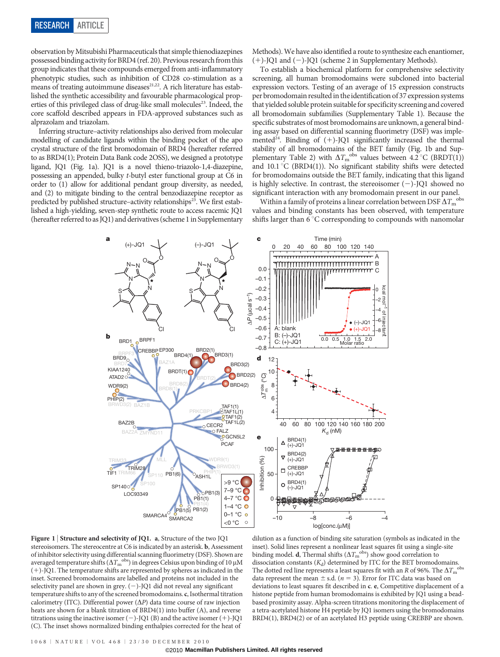observation byMitsubishi Pharmaceuticals that simple thienodiazepines possessed binding activity for BRD4 (ref. 20). Previous research from this group indicates that these compounds emerged from anti-inflammatory phenotypic studies, such as inhibition of CD28 co-stimulation as a means of treating autoimmune diseases $21,22$ . A rich literature has established the synthetic accessibility and favourable pharmacological properties of this privileged class of drug-like small molecules<sup>23</sup>. Indeed, the core scaffold described appears in FDA-approved substances such as alprazolam and triazolam.

Inferring structure–activity relationships also derived from molecular modelling of candidate ligands within the binding pocket of the apo crystal structure of the first bromodomain of BRD4 (hereafter referred to as BRD4(1); Protein Data Bank code 2OSS), we designed a prototype ligand, JQ1 (Fig. 1a). JQ1 is a novel thieno-triazolo-1,4-diazepine, possessing an appended, bulky t-butyl ester functional group at C6 in order to (1) allow for additional pendant group diversity, as needed, and (2) to mitigate binding to the central benzodiazepine receptor as predicted by published structure–activity relationships<sup>23</sup>. We first established a high-yielding, seven-step synthetic route to access racemic JQ1 (hereafter referred to as JQ1) and derivatives (scheme 1 in Supplementary

> CREBBP EP300 BAZ1A

Cl

YND<sub>11</sub>

MLL

oBRPF1

N

 $\sim^\circ$ 

 $B \overline{R} \overline{D} \overline{9}$ ≽BRD7<br>**KIAA124**0 ATAD<sub>2</sub>C WDR9(2)  $\rho$ 

**b**

BRD1

N

N N

S

BAZ2B

SP1400

LOC93349

 $TIF1$ TRIM33 BRD8(1)

(+)-JQ1 (–)-JQ1

**a c**

PB1(6)

 $B$ RDT(1) $\bigcap$ BRD<sub>4(1</sub>

BRD2(1)

N

 $N - N$ 

S

BRDT(2)

TAF1(1)<br>PRKCBP1 **STAF1L(1)** 

WDR9(1) BRWD3(1)

O<sub>ASH1L</sub>

 $O<sup>+</sup>$ PB1(1)

 $\circ$ PB1(3)

 $\overline{C}$ CECR2 **O** FALZ **SO**GCN5L2 **PCAF** 

BRD3(1)

N

 $\sim^\circ$ 

Cl

BRD3(2)  $\bigodot$ BRD2(2)  $\bigcirc$ BRD4(2)

Methods).We have also identified a route to synthesize each enantiomer,  $(+)$ -JQ1 and  $(-)$ -JQ1 (scheme 2 in Supplementary Methods).

To establish a biochemical platform for comprehensive selectivity screening, all human bromodomains were subcloned into bacterial expression vectors. Testing of an average of 15 expression constructs per bromodomain resulted in the identification of 37 expression systems that yielded soluble protein suitablefor specificity screening and covered all bromodomain subfamilies (Supplementary Table 1). Because the specific substrates of most bromodomains are unknown, a general binding assay based on differential scanning fluorimetry (DSF) was implemented<sup>24</sup>. Binding of  $(+)$ -JO1 significantly increased the thermal stability of all bromodomains of the BET family (Fig. 1b and Supplementary Table 2) with  $\Delta T_{\text{m}}^{\text{obs}}$  values between 4.2 °C (BRDT(1)) and  $10.1\,^{\circ}\text{C}$  (BRD4(1)). No significant stability shifts were detected for bromodomains outside the BET family, indicating that this ligand is highly selective. In contrast, the stereoisomer  $(-)$ -JQ1 showed no significant interaction with any bromodomain present in our panel.

Within a family of proteins a linear correlation between DSF  $\Delta T_{\mathrm{m}}^{\mathrm{obs}}$ values and binding constants has been observed, with temperature shifts larger than  $6^{\circ}$ C corresponding to compounds with nanomolar

m<del>mmmmn</del>c

0 20 40 60 80 100 120 140

A: blank  $\overline{J}$   $\bullet$  (+)-JQ1

A B

Time (min)



dilution as a function of binding site saturation (symbols as indicated in the inset). Solid lines represent a nonlinear least squares fit using a single-site binding model. d, Thermal shifts  $(\Delta T_{\rm m}^{\rm~obs})$  show good correlation to dissociation constants  $(K_d)$  determined by ITC for the BET bromodomains. The dotted red line represents a least squares fit with an R of 96%. The  $\Delta T_{\rm m}$ obs data represent the mean  $\pm$  s.d. (n = 3). Error for ITC data was based on deviations to least squares fit described in c. e, Competitive displacement of a histone peptide from human bromodomains is exhibited by JQ1 using a beadbased proximity assay. Alpha-screen titrations monitoring the displacement of a tetra-acetylated histone H4 peptide by JQ1 isomers using the bromodomains BRD4(1), BRD4(2) or of an acetylated H3 peptide using CREBBP are shown.

log[conc.(μM)]

–10 –8 –6 –4

.<br><del>බල්ලි ගම</del>

40 60 80 100 120 140 160 180 200

0.0 0.5 1.0 1.5 2.0 Molar ratio

–8 –6  $-4$   $\frac{9}{5}$ –2 kcal mol–1 of injectant

<del>双 双/</del>双〇

(–)-JQ1

 $\Omega$ 

kud

IOLU

 $K_d$  (nM)

Inhibition (%)

nhibition (%)

**e**

>9 °C 7–9 °C 4–7 °C

O

 $\frac{1}{2}$ TAF1(2)

0

50

100

 $\Delta T_{\rm m}^{\rm obs}$  (°C)

–0.8 –0.7 –0.6 –0.5 –0.4 –0.3 –0.2 –0.1 0.0

**d**

Δ*P* (μcal s–1)

 $\mathcal{P}$  (ucal

 $\overline{5}^{-1}$ 

 $\Delta$  BRD4(1)  $(+)-JQ1$ BRD4(2)  $(+)$ -JQ1 CREBBP (+)-JQ1 BRD4(1)  $(-)$ -JQ $^{\frac{1}{1}}$ 

⊽

 $\triangledown$ 

 $\Box$  $\Omega$ 

B: (–)-JQ1 C: (+)-JQ1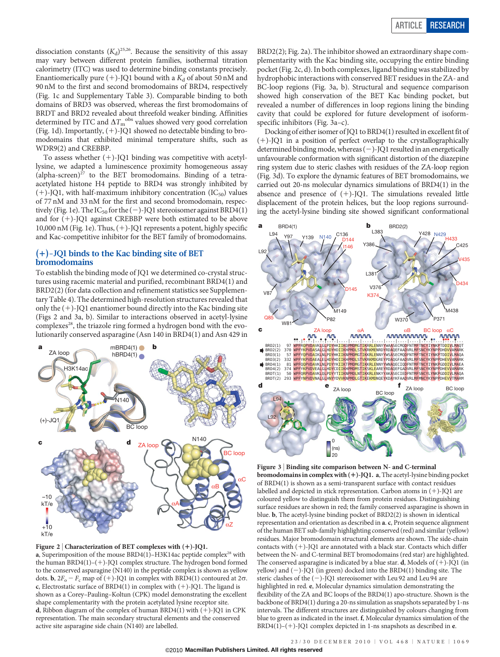dissociation constants  $(K_d)^{25,26}$ . Because the sensitivity of this assay may vary between different protein families, isothermal titration calorimetry (ITC) was used to determine binding constants precisely. Enantiomerically pure  $(+)$ -JQ1 bound with a  $K_d$  of about 50 nM and 90 nM to the first and second bromodomains of BRD4, respectively (Fig. 1c and Supplementary Table 3). Comparable binding to both domains of BRD3 was observed, whereas the first bromodomains of BRDT and BRD2 revealed about threefold weaker binding. Affinities determined by ITC and  $\Delta T_{\mathrm{m}}^{\mathrm{obs}}$  values showed very good correlation (Fig. 1d). Importantly,  $(+)$ -JQ1 showed no detectable binding to bromodomains that exhibited minimal temperature shifts, such as WDR9(2) and CREBBP.

To assess whether  $(+)$ -JQ1 binding was competitive with acetyllysine, we adapted a luminescence proximity homogeneous assay  $(alpha-screen)^{27}$  to the BET bromodomains. Binding of a tetraacetylated histone H4 peptide to BRD4 was strongly inhibited by  $(+)$ -JQ1, with half-maximum inhibitory concentration (IC<sub>50</sub>) values of 77 nM and 33 nM for the first and second bromodomain, respectively (Fig. 1e). The  $IC_{50}$  for the  $(-)$ -JQ1 stereoisomer against BRD4(1) and for  $(+)$ -JQ1 against CREBBP were both estimated to be above 10,000 nM (Fig. 1e). Thus,  $(+)$ -JQ1 represents a potent, highly specific and Kac-competitive inhibitor for the BET family of bromodomains.

## $(+)$ -JO1 binds to the Kac binding site of BET bromodomains

To establish the binding mode of JQ1 we determined co-crystal structures using racemic material and purified, recombinant BRD4(1) and BRD2(2) (for data collection and refinement statistics see Supplementary Table 4). The determined high-resolution structures revealed that only the  $(+)$ -JQ1 enantiomer bound directly into the Kac binding site (Figs 2 and 3a, b). Similar to interactions observed in acetyl-lysine complexes<sup>28</sup>, the triazole ring formed a hydrogen bond with the evolutionarily conserved asparagine (Asn 140 in BRD4(1) and Asn 429 in



Figure 2 | Characterization of BET complexes with  $(+)$ -JQ1. a, Superimposition of the mouse  $BRD4(1)$ –H3K14ac peptide complex<sup>28</sup> with the human  $BRD4(1)$ –(+)-JQ1 complex structure. The hydrogen bond formed to the conserved asparagine (N140) in the peptide complex is shown as yellow dots. **b**,  $2F_o - F_c$  map of (+)-JQ1 in complex with BRD4(1) contoured at 2 $\sigma$ . c, Electrostatic surface of BRD4(1) in complex with  $(+)$ -JQ1. The ligand is shown as a Corey–Pauling–Koltun (CPK) model demonstrating the excellent shape complementarity with the protein acetylated lysine receptor site. d, Ribbon diagram of the complex of human BRD4(1) with  $(+)$ -JQ1 in CPK representation. The main secondary structural elements and the conserved active site asparagine side chain (N140) are labelled.

BRD2(2); Fig. 2a). The inhibitor showed an extraordinary shape complementarity with the Kac binding site, occupying the entire binding pocket (Fig. 2c, d). In both complexes, ligand binding was stabilized by hydrophobic interactions with conserved BET residues in the ZA- and BC-loop regions (Fig. 3a, b). Structural and sequence comparison showed high conservation of the BET Kac binding pocket, but revealed a number of differences in loop regions lining the binding cavity that could be explored for future development of isoformspecific inhibitors (Fig. 3a–c).

Docking of either isomer of JQ1 to BRD4(1) resulted in excellent fit of  $(+)$ -JQ1 in a position of perfect overlap to the crystallographically determined binding mode, whereas  $(-)$ -JQ1 resulted in an energetically unfavourable conformation with significant distortion of the diazepine ring system due to steric clashes with residues of the ZA-loop region (Fig. 3d). To explore the dynamic features of BET bromodomains, we carried out 20-ns molecular dynamics simulations of BRD4(1) in the absence and presence of  $(+)$ -JQ1. The simulations revealed little displacement of the protein helices, but the loop regions surrounding the acetyl-lysine binding site showed significant conformational



Figure 3 <sup>|</sup> Binding site comparison between N- and C-terminal bromodomains in complex with  $(+)$ -JQ1. a, The acetyl-lysine binding pocket of BRD4(1) is shown as a semi-transparent surface with contact residues labelled and depicted in stick representation. Carbon atoms in  $(+)$ -JQ1 are coloured yellow to distinguish them from protein residues. Distinguishing surface residues are shown in red; the family conserved asparagine is shown in blue. b, The acetyl-lysine binding pocket of BRD2(2) is shown in identical representation and orientation as described in a. c, Protein sequence alignment of the human BET sub-family highlighting conserved (red) and similar (yellow) residues. Major bromodomain structural elements are shown. The side-chain contacts with  $(+)$ -JQ1 are annotated with a black star. Contacts which differ between the N- and C-terminal BET bromodomains (red star) are highlighted. The conserved asparagine is indicated by a blue star. **d**, Models of  $(+)$ -JQ1 (in yellow) and  $(-)$ -JQ1 (in green) docked into the BRD4(1) binding site. The steric clashes of the  $(-)$ -JQ1 stereoisomer with Leu 92 and Leu 94 are highlighted in red. e, Molecular dynamics simulation demonstrating the flexibility of the ZA and BC loops of the BRD4(1) apo-structure. Shown is the backbone of BRD4(1) during a 20-ns simulation as snapshots separated by 1-ns intervals. The different structures are distinguished by colours changing from blue to green as indicated in the inset. f, Molecular dynamics simulation of the BRD4(1)–(+)-JQ1 complex depicted in 1-ns snapshots as described in  $e$ .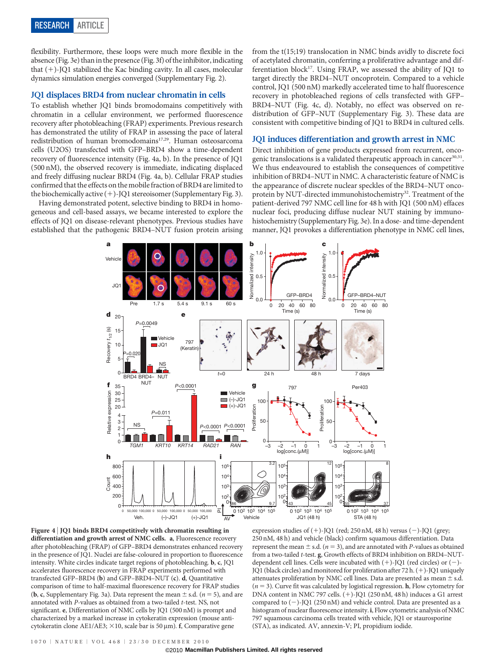flexibility. Furthermore, these loops were much more flexible in the absence (Fig. 3e) than in the presence (Fig. 3f) of the inhibitor, indicating that  $(+)$ -JQ1 stabilized the Kac binding cavity. In all cases, molecular dynamics simulation energies converged (Supplementary Fig. 2).

## JQ1 displaces BRD4 from nuclear chromatin in cells

To establish whether JQ1 binds bromodomains competitively with chromatin in a cellular environment, we performed fluorescence recovery after photobleaching (FRAP) experiments. Previous research has demonstrated the utility of FRAP in assessing the pace of lateral redistribution of human bromodomains<sup>17,29</sup>. Human osteosarcoma cells (U2OS) transfected with GFP–BRD4 show a time-dependent recovery of fluorescence intensity (Fig. 4a, b). In the presence of JQ1 (500 nM), the observed recovery is immediate, indicating displaced and freely diffusing nuclear BRD4 (Fig. 4a, b). Cellular FRAP studies confirmed that the effects on the mobilefraction of BRD4 are limited to the biochemically active  $(+)$ -JQ1 stereoisomer (Supplementary Fig. 3).

Having demonstrated potent, selective binding to BRD4 in homogeneous and cell-based assays, we became interested to explore the effects of JQ1 on disease-relevant phenotypes. Previous studies have established that the pathogenic BRD4–NUT fusion protein arising

from the t(15;19) translocation in NMC binds avidly to discrete foci of acetylated chromatin, conferring a proliferative advantage and differentiation block<sup>17</sup>. Using FRAP, we assessed the ability of JQ1 to target directly the BRD4–NUT oncoprotein. Compared to a vehicle control, JQ1 (500 nM) markedly accelerated time to half fluorescence recovery in photobleached regions of cells transfected with GFP– BRD4–NUT (Fig. 4c, d). Notably, no effect was observed on redistribution of GFP–NUT (Supplementary Fig. 3). These data are consistent with competitive binding of JQ1 to BRD4 in cultured cells.

#### JQ1 induces differentiation and growth arrest in NMC

Direct inhibition of gene products expressed from recurrent, oncogenic translocations is a validated therapeutic approach in cancer $30,31$ . We thus endeavoured to establish the consequences of competitive inhibition of BRD4–NUT in NMC. A characteristic feature of NMC is the appearance of discrete nuclear speckles of the BRD4–NUT oncoprotein by NUT-directed immunohistochemistry<sup>32</sup>. Treatment of the patient-derived 797 NMC cell line for 48 h with JQ1 (500 nM) effaces nuclear foci, producing diffuse nuclear NUT staining by immunohistochemistry (Supplementary Fig. 3e). In a dose- and time-dependent manner, JQ1 provokes a differentiation phenotype in NMC cell lines,





expression studies of  $(+)$ -JQ1 (red; 250 nM, 48 h) versus  $(-)$ -JQ1 (grey; 250 nM, 48 h) and vehicle (black) confirm squamous differentiation. Data represent the mean  $\pm$  s.d. ( $n = 3$ ), and are annotated with P-values as obtained from a two-tailed t-test. g, Growth effects of BRD4 inhibition on BRD4–NUTdependent cell lines. Cells were incubated with  $(+)$ -JQ1 (red circles) or  $(-)$ -JQ1 (black circles) and monitored for proliferation after 72 h.  $(+)$ -JQ1 uniquely attenuates proliferation by NMC cell lines. Data are presented as mean  $\pm$  s.d.  $(n = 3)$ . Curve fit was calculated by logistical regression. **h**, Flow cytometry for DNA content in NMC 797 cells. (+)-JQ1 (250 nM, 48 h) induces a G1 arrest compared to  $(-)$ -JQ1 (250 nM) and vehicle control. Data are presented as a histogram of nuclear fluorescence intensity. i, Flow cytometric analysis of NMC 797 squamous carcinoma cells treated with vehicle, JQ1 or staurosporine (STA), as indicated. AV, annexin-V; PI, propidium iodide.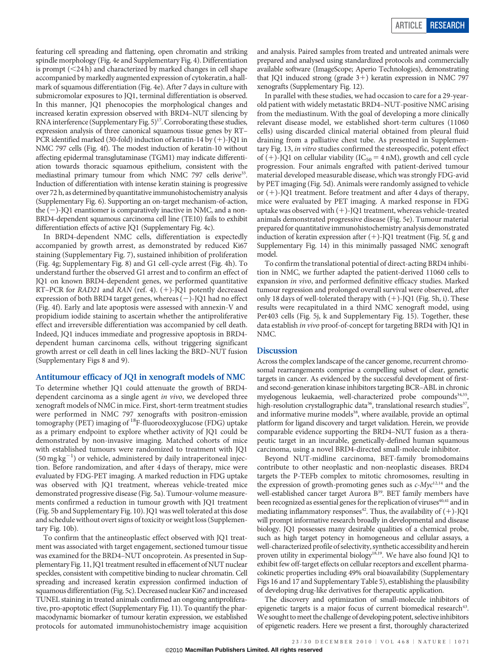featuring cell spreading and flattening, open chromatin and striking spindle morphology (Fig. 4e and Supplementary Fig. 4). Differentiation is prompt  $(<24 h)$  and characterized by marked changes in cell shape accompanied by markedly augmented expression of cytokeratin, a hallmark of squamous differentiation (Fig. 4e). After 7 days in culture with submicromolar exposures to JQ1, terminal differentiation is observed. In this manner, JQ1 phenocopies the morphological changes and increased keratin expression observed with BRD4–NUT silencing by RNA interference (Supplementary Fig.  $5)^{17}$ . Corroborating these studies, expression analysis of three canonical squamous tissue genes by RT– PCR identified marked (30-fold) induction of keratin-14 by  $(+)$ -JQ1 in NMC 797 cells (Fig. 4f). The modest induction of keratin-10 without affecting epidermal transglutaminase (TGM1) may indicate differentiation towards thoracic squamous epithelium, consistent with the mediastinal primary tumour from which NMC 797 cells derive<sup>33</sup>. Induction of differentiation with intense keratin staining is progressive over 72 h, as determined by quantitative immunohistochemistry analysis (Supplementary Fig. 6). Supporting an on-target mechanism-of-action, the  $(-)$ -JQ1 enantiomer is comparatively inactive in NMC, and a non-BRD4-dependent squamous carcinoma cell line (TE10) fails to exhibit differentiation effects of active JQ1 (Supplementary Fig. 4c).

In BRD4-dependent NMC cells, differentiation is expectedly accompanied by growth arrest, as demonstrated by reduced Ki67 staining (Supplementary Fig. 7), sustained inhibition of proliferation (Fig. 4g; Supplementary Fig. 8) and G1 cell-cycle arrest (Fig. 4h). To understand further the observed G1 arrest and to confirm an effect of JQ1 on known BRD4-dependent genes, we performed quantitative RT-PCR for RAD21 and RAN (ref. 4). (+)-JQ1 potently decreased expression of both BRD4 target genes, whereas  $(-)$ -JQ1 had no effect (Fig. 4f). Early and late apoptosis were assessed with annexin-V and propidium iodide staining to ascertain whether the antiproliferative effect and irreversible differentiation was accompanied by cell death. Indeed, JQ1 induces immediate and progressive apoptosis in BRD4 dependent human carcinoma cells, without triggering significant growth arrest or cell death in cell lines lacking the BRD–NUT fusion (Supplementary Figs 8 and 9).

### Antitumour efficacy of JQ1 in xenograft models of NMC

To determine whether JQ1 could attenuate the growth of BRD4 dependent carcinoma as a single agent in vivo, we developed three xenograft models of NMC in mice. First, short-term treatment studies were performed in NMC 797 xenografts with positron-emission tomography (PET) imaging of  ${}^{18}$ F-fluorodeoxyglucose (FDG) uptake as a primary endpoint to explore whether activity of JQ1 could be demonstrated by non-invasive imaging. Matched cohorts of mice with established tumours were randomized to treatment with JQ1  $(50 \,\text{mg}\,\text{kg}^{-1})$  or vehicle, administered by daily intraperitoneal injection. Before randomization, and after 4 days of therapy, mice were evaluated by FDG-PET imaging. A marked reduction in FDG uptake was observed with JQ1 treatment, whereas vehicle-treated mice demonstrated progressive disease (Fig. 5a). Tumour-volume measurements confirmed a reduction in tumour growth with JQ1 treatment (Fig. 5b and Supplementary Fig. 10). JQ1 was well tolerated at this dose and schedule without overt signs of toxicity or weight loss (Supplementary Fig. 10b).

To confirm that the antineoplastic effect observed with JQ1 treatment was associated with target engagement, sectioned tumour tissue was examined for the BRD4–NUT oncoprotein. As presented in Supplementary Fig. 11, JQ1 treatment resulted in effacement of NUT nuclear speckles, consistent with competitive binding to nuclear chromatin. Cell spreading and increased keratin expression confirmed induction of squamous differentiation (Fig. 5c). Decreased nuclear Ki67 and increased TUNEL staining in treated animals confirmed an ongoing antiproliferative, pro-apoptotic effect (Supplementary Fig. 11). To quantify the pharmacodynamic biomarker of tumour keratin expression, we established protocols for automated immunohistochemistry image acquisition

and analysis. Paired samples from treated and untreated animals were prepared and analysed using standardized protocols and commercially available software (ImageScope; Aperio Technologies), demonstrating that JQ1 induced strong (grade  $3+$ ) keratin expression in NMC 797 xenografts (Supplementary Fig. 12).

In parallel with these studies, we had occasion to care for a 29-yearold patient with widely metastatic BRD4–NUT-positive NMC arising from the mediastinum. With the goal of developing a more clinically relevant disease model, we established short-term cultures (11060 cells) using discarded clinical material obtained from pleural fluid draining from a palliative chest tube. As presented in Supplementary Fig. 13, in vitro studies confirmed the stereospecific, potent effect of  $(+)$ -JQ1 on cellular viability (IC<sub>50</sub> = 4 nM), growth and cell cycle progression. Four animals engrafted with patient-derived tumour material developed measurable disease, which was strongly FDG-avid by PET imaging (Fig. 5d). Animals were randomly assigned to vehicle or  $(+)$ -JQ1 treatment. Before treatment and after 4 days of therapy, mice were evaluated by PET imaging. A marked response in FDG uptake was observed with  $(+)$ -JQ1 treatment, whereas vehicle-treated animals demonstrated progressive disease (Fig. 5e). Tumour material prepared for quantitative immunohistochemistry analysis demonstrated induction of keratin expression after  $(+)$ -JQ1 treatment (Fig. 5f, g and Supplementary Fig. 14) in this minimally passaged NMC xenograft model.

To confirm the translational potential of direct-acting BRD4 inhibition in NMC, we further adapted the patient-derived 11060 cells to expansion in vivo, and performed definitive efficacy studies. Marked tumour regression and prolonged overall survival were observed, after only 18 days of well-tolerated therapy with  $(+)$ -JQ1 (Fig. 5h, i). These results were recapitulated in a third NMC xenograft model, using Per403 cells (Fig. 5j, k and Supplementary Fig. 15). Together, these data establish in vivo proof-of-concept for targeting BRD4 with JQ1 in NMC.

## **Discussion**

Across the complex landscape of the cancer genome, recurrent chromosomal rearrangements comprise a compelling subset of clear, genetic targets in cancer. As evidenced by the successful development of firstand second-generation kinase inhibitors targeting BCR–ABL in chronic myelogenous leukaemia, well-characterized probe compounds<sup>34,35</sup> high-resolution crystallographic data<sup>36</sup>, translational research studies<sup>37</sup>, and informative murine models<sup>38</sup>, where available, provide an optimal platform for ligand discovery and target validation. Herein, we provide comparable evidence supporting the BRD4–NUT fusion as a therapeutic target in an incurable, genetically-defined human squamous carcinoma, using a novel BRD4-directed small-molecule inhibitor.

Beyond NUT-midline carcinoma, BET-family bromodomains contribute to other neoplastic and non-neoplastic diseases. BRD4 targets the P-TEFb complex to mitotic chromosomes, resulting in the expression of growth-promoting genes such as  $c$ - $Myc^{12,14}$  and the well-established cancer target Aurora B<sup>39</sup>. BET family members have been recognized as essential genes for the replication of viruses<sup>40,41</sup> and in mediating inflammatory responses<sup>42</sup>. Thus, the availability of  $(+)$ -JQ1 will prompt informative research broadly in developmental and disease biology. JQ1 possesses many desirable qualities of a chemical probe, such as high target potency in homogeneous and cellular assays, a well-characterized profile of selectivity, synthetic accessibility and herein proven utility in experimental biology<sup>18,19</sup>. We have also found JQ1 to exhibit few off-target effects on cellular receptors and excellent pharmacokinetic properties including 49% oral bioavailability (Supplementary Figs 16 and 17 and Supplementary Table 5), establishing the plausibility of developing drug-like derivatives for therapeutic application.

The discovery and optimization of small-molecule inhibitors of epigenetic targets is a major focus of current biomedical research<sup>43</sup>. We sought to meet the challenge of developing potent, selective inhibitors of epigenetic readers. Here we present a first, thoroughly characterized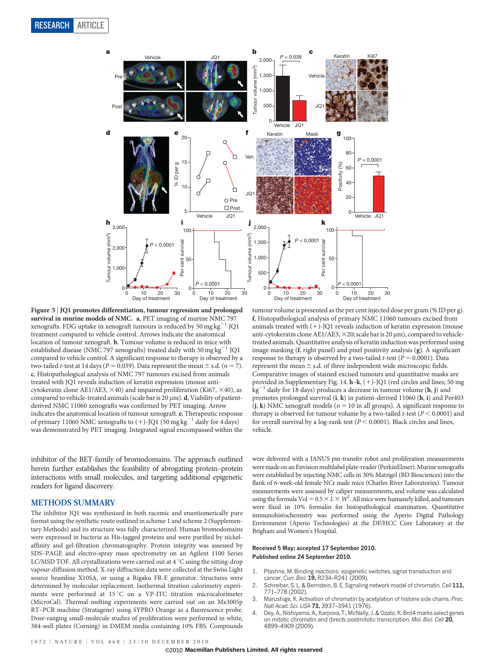

Figure 5 <sup>|</sup> JQ1 promotes differentiation, tumour regression and prolonged survival in murine models of NMC. a, PET imaging of murine NMC 797 xenografts. FDG uptake in xenograft tumours is reduced by  $50 \text{ mg kg}^{-1}$ treatment compared to vehicle control. Arrows indicate the anatomical location of tumour xenograft. b, Tumour volume is reduced in mice with established disease (NMC 797 xenografts) treated daily with 50 mg kg<sup>-1</sup> JQ1 compared to vehicle control. A significant response to therapy is observed by a two-tailed *t*-test at 14 days ( $P = 0.039$ ). Data represent the mean  $\pm$  s.d. ( $n = 7$ ). c, Histopathological analysis of NMC 797 tumours excised from animals treated with JQ1 reveals induction of keratin expression (mouse anticytokeratin clone AE1/AE3,  $\times$ 40) and impaired proliferation (Ki67,  $\times$ 40), as compared to vehicle-treated animals (scale bar is 20  $\mu$ m). d, Viability of patientderived NMC 11060 xenografts was confirmed by PET imaging. Arrow indicates the anatomical location of tumour xenograft. e, Therapeutic response of primary 11060 NMC xenografts to  $(+)$ -JQ1 (50 mg kg<sup>-1</sup> daily for 4 days) was demonstrated by PET imaging. Integrated signal encompassed within the

inhibitor of the BET-family of bromodomains. The approach outlined herein further establishes the feasibility of abrogating protein–protein interactions with small molecules, and targeting additional epigenetic readers for ligand discovery.

#### METHODS SUMMARY

The inhibitor JQ1 was synthesized in both racemic and enantiomerically pure format using the synthetic route outlined in scheme 1 and scheme 2 (Supplementary Methods) and its structure was fully characterized. Human bromodomains were expressed in bacteria as His-tagged proteins and were purified by nickelaffinity and gel-filtration chromatography. Protein integrity was assessed by SDS–PAGE and electro-spray mass spectrometry on an Agilent 1100 Series LC/MSD TOF. All crystallizations were carried out at  $4^{\circ}$ C using the sitting-drop vapour-diffusion method. X-ray diffraction data were collected at the Swiss Light source beamline X10SA, or using a Rigaku FR-E generator. Structures were determined by molecular replacement. Isothermal titration calorimetry experiments were performed at 15 °C on a VP-ITC titration microcalorimeter (MicroCal). Thermal melting experiments were carried out on an Mx3005p RT–PCR machine (Stratagene) using SYPRO Orange as a fluorescence probe. Dose-ranging small-molecule studies of proliferation were performed in white, 384-well plates (Corning) in DMEM media containing 10% FBS. Compounds

tumour volume is presented as the per cent injected dose per gram (% ID per g). f, Histopathological analysis of primary NMC 11060 tumours excised from animals treated with  $(+)$ -JQ1 reveals induction of keratin expression (mouse anti-cytokeratin clone AE1/AE3,  $\times$ 20; scale bar is 20  $\mu$ m), compared to vehicletreated animals. Quantitative analysis of keratin induction was performed using image masking (f, right panel) and pixel positivity analysis (g). A significant response to therapy is observed by a two-tailed *t*-test ( $P = 0.0001$ ). Data represent the mean  $\pm$  s.d. of three independent wide microscopic fields. Comparative images of stained excised tumours and quantitative masks are provided in Supplementary Fig. 14.  $h-k$ ,  $(+)$ -JQ1 (red circles and lines; 50 mg  $kg^{-1}$  daily for 18 days) produces a decrease in tumour volume (h, j) and promotes prolonged survival (i, k) in patient-derived 11060 (h, i) and Per403  $(i, k)$  NMC xenograft models ( $n = 10$  in all groups). A significant response to therapy is observed for tumour volume by a two-tailed *t*-test ( $P < 0.0001$ ) and for overall survival by a log-rank test ( $P < 0.0001$ ). Black circles and lines, vehicle.

were delivered with a JANUS pin-transfer robot and proliferation measurements were made on an Envision multilabel plate-reader (PerkinElmer). Murine xenografts were established by injecting NMC cells in 30% Matrigel (BD Biosciences) into the flank of 6-week-old female NCr nude mice (Charles River Laboratories). Tumour measurements were assessed by caliper measurements, and volume was calculated using the formula Vol =  $0.5 \times L \times W^2$ . All mice were humanely killed, and tumours were fixed in 10% formalin for histopathological examination. Quantitative immunohistochemistry was performed using the Aperio Digital Pathology Environment (Aperio Technologies) at the DF/HCC Core Laboratory at the Brigham and Women's Hospital.

#### Received 5 May; accepted 17 September 2010. Published online 24 September 2010.

- 1. Ptashne, M. Binding reactions: epigenetic switches, signal transduction and cancer. Curr. Biol. 19, R234-R241 (2009).
- 2. Schreiber, S. L. & Bernstein, B. E. Signaling network model of chromatin. Cell 111, 771–778 (2002).
- Marushige, K. Activation of chromatin by acetylation of histone side chains. Proc. Natl Acad. Sci. USA 73, 3937-3941 (1976).
- 4. Dey, A., Nishiyama, A., Karpova, T., McNally, J. & Ozato, K. Brd4 marks select genes on mitotic chromatin and directs postmitotic transcription. Mol. Biol. Cell 20, 4899–4909 (2009).